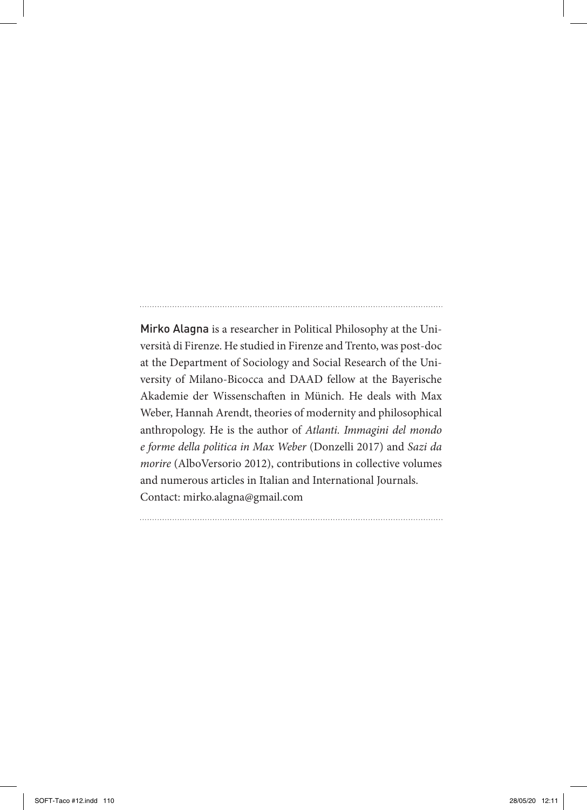Mirko Alagna is a researcher in Political Philosophy at the Università di Firenze. He studied in Firenze and Trento, was post-doc at the Department of Sociology and Social Research of the University of Milano-Bicocca and DAAD fellow at the Bayerische Akademie der Wissenschaften in Münich. He deals with Max Weber, Hannah Arendt, theories of modernity and philosophical anthropology. He is the author of *Atlanti. Immagini del mondo e forme della politica in Max Weber* (Donzelli 2017) and *Sazi da morire* (AlboVersorio 2012), contributions in collective volumes and numerous articles in Italian and International Journals. Contact: mirko.alagna@gmail.com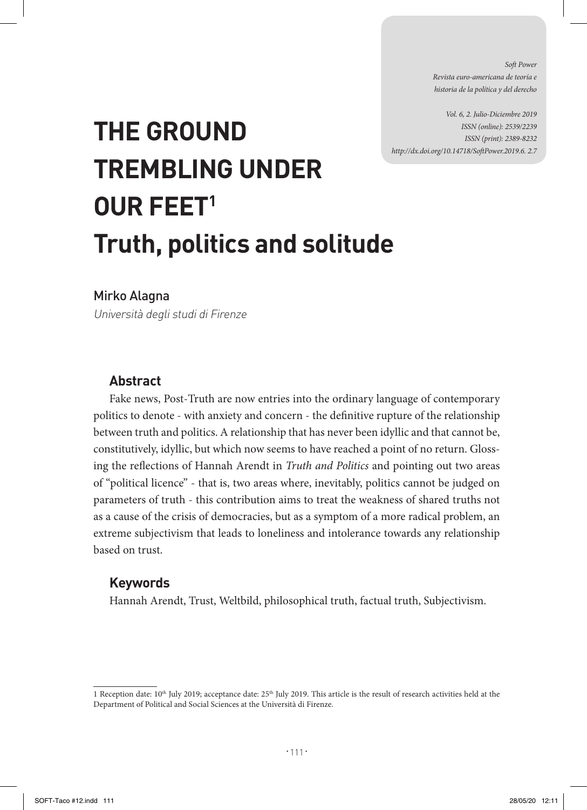*Soft Power Revista euro-americana de teoría e historia de la política y del derecho* 

*Vol. 6, 2. Julio-Diciembre 2019 ISSN (online): 2539/2239 ISSN (print): 2389-8232 http://dx.doi.org/10.14718/SoftPower.2019.6. 2.7*

# **THE GROUND TREMBLING UNDER OUR FEET1 Truth, politics and solitude**

Mirko Alagna

Università degli studi di Firenze

# **Abstract**

Fake news, Post-Truth are now entries into the ordinary language of contemporary politics to denote - with anxiety and concern - the definitive rupture of the relationship between truth and politics. A relationship that has never been idyllic and that cannot be, constitutively, idyllic, but which now seems to have reached a point of no return. Glossing the reflections of Hannah Arendt in *Truth and Politics* and pointing out two areas of "political licence" - that is, two areas where, inevitably, politics cannot be judged on parameters of truth - this contribution aims to treat the weakness of shared truths not as a cause of the crisis of democracies, but as a symptom of a more radical problem, an extreme subjectivism that leads to loneliness and intolerance towards any relationship based on trust.

# **Keywords**

Hannah Arendt, Trust, Weltbild, philosophical truth, factual truth, Subjectivism.

<sup>1</sup> Reception date:  $10<sup>th</sup>$  July 2019; acceptance date:  $25<sup>th</sup>$  July 2019. This article is the result of research activities held at the Department of Political and Social Sciences at the Università di Firenze.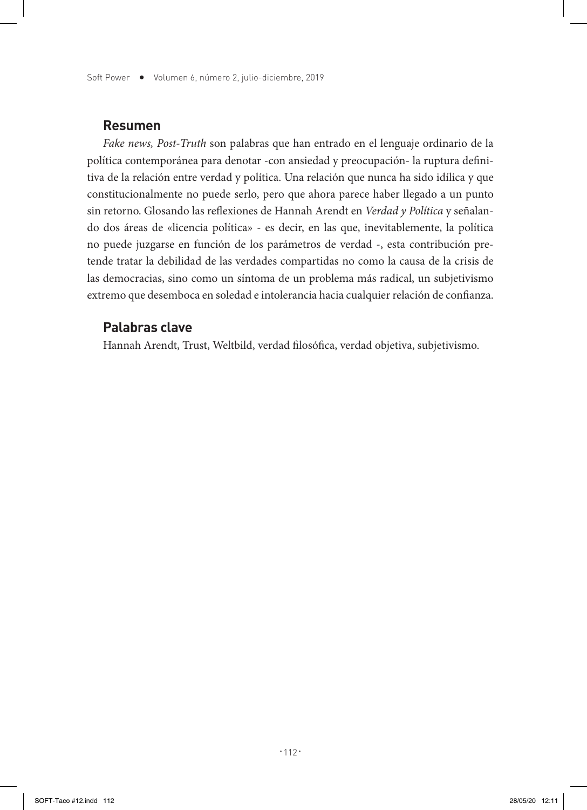Soft Power  $\bullet$  Volumen 6, número 2, julio-diciembre, 2019

## **Resumen**

*Fake news, Post-Truth* son palabras que han entrado en el lenguaje ordinario de la política contemporánea para denotar -con ansiedad y preocupación- la ruptura definitiva de la relación entre verdad y política. Una relación que nunca ha sido idílica y que constitucionalmente no puede serlo, pero que ahora parece haber llegado a un punto sin retorno. Glosando las reflexiones de Hannah Arendt en *Verdad y Política* y señalando dos áreas de «licencia política» - es decir, en las que, inevitablemente, la política no puede juzgarse en función de los parámetros de verdad -, esta contribución pretende tratar la debilidad de las verdades compartidas no como la causa de la crisis de las democracias, sino como un síntoma de un problema más radical, un subjetivismo extremo que desemboca en soledad e intolerancia hacia cualquier relación de confianza.

#### **Palabras clave**

Hannah Arendt, Trust, Weltbild, verdad filosófica, verdad objetiva, subjetivismo.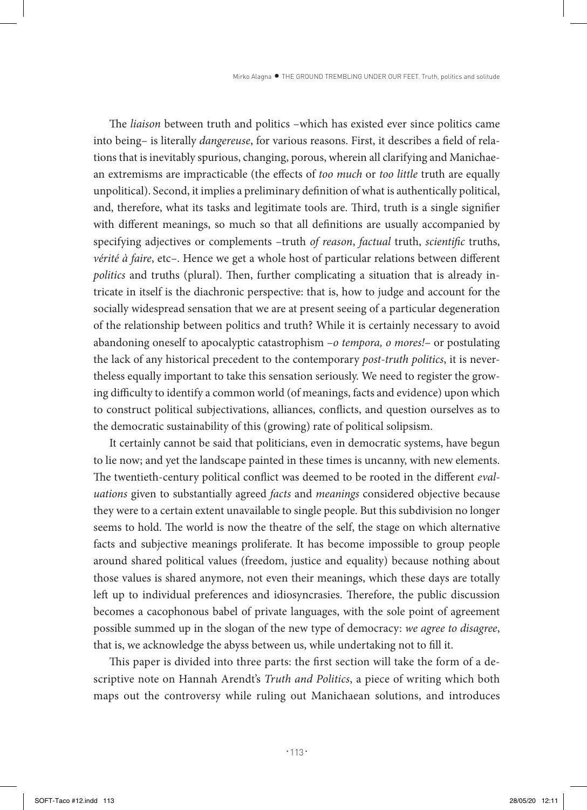The *liaison* between truth and politics –which has existed ever since politics came into being– is literally *dangereuse*, for various reasons. First, it describes a field of relations that is inevitably spurious, changing, porous, wherein all clarifying and Manichaean extremisms are impracticable (the effects of *too much* or *too little* truth are equally unpolitical). Second, it implies a preliminary definition of what is authentically political, and, therefore, what its tasks and legitimate tools are. Third, truth is a single signifier with different meanings, so much so that all definitions are usually accompanied by specifying adjectives or complements –truth *of reason*, *factual* truth, *scientific* truths, *vérité à faire*, etc–. Hence we get a whole host of particular relations between different *politics* and truths (plural). Then, further complicating a situation that is already intricate in itself is the diachronic perspective: that is, how to judge and account for the socially widespread sensation that we are at present seeing of a particular degeneration of the relationship between politics and truth? While it is certainly necessary to avoid abandoning oneself to apocalyptic catastrophism –*o tempora, o mores!*– or postulating the lack of any historical precedent to the contemporary *post-truth politics*, it is nevertheless equally important to take this sensation seriously. We need to register the growing difficulty to identify a common world (of meanings, facts and evidence) upon which to construct political subjectivations, alliances, conflicts, and question ourselves as to the democratic sustainability of this (growing) rate of political solipsism.

It certainly cannot be said that politicians, even in democratic systems, have begun to lie now; and yet the landscape painted in these times is uncanny, with new elements. The twentieth-century political conflict was deemed to be rooted in the different *evaluations* given to substantially agreed *facts* and *meanings* considered objective because they were to a certain extent unavailable to single people. But this subdivision no longer seems to hold. The world is now the theatre of the self, the stage on which alternative facts and subjective meanings proliferate. It has become impossible to group people around shared political values (freedom, justice and equality) because nothing about those values is shared anymore, not even their meanings, which these days are totally left up to individual preferences and idiosyncrasies. Therefore, the public discussion becomes a cacophonous babel of private languages, with the sole point of agreement possible summed up in the slogan of the new type of democracy: *we agree to disagree*, that is, we acknowledge the abyss between us, while undertaking not to fill it.

This paper is divided into three parts: the first section will take the form of a descriptive note on Hannah Arendt's *Truth and Politics*, a piece of writing which both maps out the controversy while ruling out Manichaean solutions, and introduces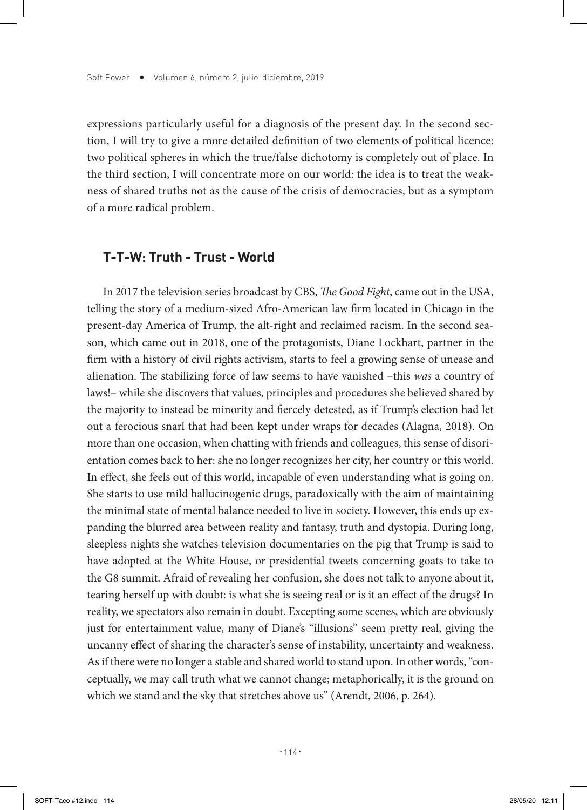expressions particularly useful for a diagnosis of the present day. In the second section, I will try to give a more detailed definition of two elements of political licence: two political spheres in which the true/false dichotomy is completely out of place. In the third section, I will concentrate more on our world: the idea is to treat the weakness of shared truths not as the cause of the crisis of democracies, but as a symptom of a more radical problem.

## **T-T-W: Truth - Trust - World**

In 2017 the television series broadcast by CBS, *The Good Fight*, came out in the USA, telling the story of a medium-sized Afro-American law firm located in Chicago in the present-day America of Trump, the alt-right and reclaimed racism. In the second season, which came out in 2018, one of the protagonists, Diane Lockhart, partner in the firm with a history of civil rights activism, starts to feel a growing sense of unease and alienation. The stabilizing force of law seems to have vanished –this *was* a country of laws!– while she discovers that values, principles and procedures she believed shared by the majority to instead be minority and fiercely detested, as if Trump's election had let out a ferocious snarl that had been kept under wraps for decades (Alagna, 2018). On more than one occasion, when chatting with friends and colleagues, this sense of disorientation comes back to her: she no longer recognizes her city, her country or this world. In effect, she feels out of this world, incapable of even understanding what is going on. She starts to use mild hallucinogenic drugs, paradoxically with the aim of maintaining the minimal state of mental balance needed to live in society. However, this ends up expanding the blurred area between reality and fantasy, truth and dystopia. During long, sleepless nights she watches television documentaries on the pig that Trump is said to have adopted at the White House, or presidential tweets concerning goats to take to the G8 summit. Afraid of revealing her confusion, she does not talk to anyone about it, tearing herself up with doubt: is what she is seeing real or is it an effect of the drugs? In reality, we spectators also remain in doubt. Excepting some scenes, which are obviously just for entertainment value, many of Diane's "illusions" seem pretty real, giving the uncanny effect of sharing the character's sense of instability, uncertainty and weakness. As if there were no longer a stable and shared world to stand upon. In other words, "conceptually, we may call truth what we cannot change; metaphorically, it is the ground on which we stand and the sky that stretches above us" (Arendt, 2006, p. 264).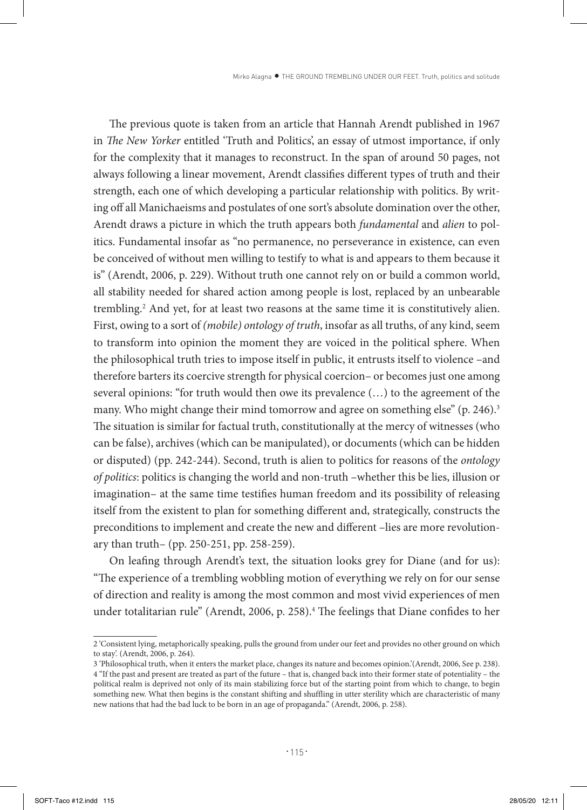The previous quote is taken from an article that Hannah Arendt published in 1967 in *The New Yorker* entitled 'Truth and Politics', an essay of utmost importance, if only for the complexity that it manages to reconstruct. In the span of around 50 pages, not always following a linear movement, Arendt classifies different types of truth and their strength, each one of which developing a particular relationship with politics. By writing off all Manichaeisms and postulates of one sort's absolute domination over the other, Arendt draws a picture in which the truth appears both *fundamental* and *alien* to politics. Fundamental insofar as "no permanence, no perseverance in existence, can even be conceived of without men willing to testify to what is and appears to them because it is" (Arendt, 2006, p. 229). Without truth one cannot rely on or build a common world, all stability needed for shared action among people is lost, replaced by an unbearable trembling.2 And yet, for at least two reasons at the same time it is constitutively alien. First, owing to a sort of *(mobile) ontology of truth*, insofar as all truths, of any kind, seem to transform into opinion the moment they are voiced in the political sphere. When the philosophical truth tries to impose itself in public, it entrusts itself to violence –and therefore barters its coercive strength for physical coercion– or becomes just one among several opinions: "for truth would then owe its prevalence (…) to the agreement of the many. Who might change their mind tomorrow and agree on something else" (p. 246).<sup>3</sup> The situation is similar for factual truth, constitutionally at the mercy of witnesses (who can be false), archives (which can be manipulated), or documents (which can be hidden or disputed) (pp. 242-244). Second, truth is alien to politics for reasons of the *ontology of politics*: politics is changing the world and non-truth –whether this be lies, illusion or imagination– at the same time testifies human freedom and its possibility of releasing itself from the existent to plan for something different and, strategically, constructs the preconditions to implement and create the new and different –lies are more revolutionary than truth– (pp. 250-251, pp. 258-259).

On leafing through Arendt's text, the situation looks grey for Diane (and for us): "The experience of a trembling wobbling motion of everything we rely on for our sense of direction and reality is among the most common and most vivid experiences of men under totalitarian rule" (Arendt, 2006, p. 258).<sup>4</sup> The feelings that Diane confides to her

<sup>2 &#</sup>x27;Consistent lying, metaphorically speaking, pulls the ground from under our feet and provides no other ground on which to stay'. (Arendt, 2006, p. 264).

<sup>3 &#</sup>x27;Philosophical truth, when it enters the market place, changes its nature and becomes opinion.'(Arendt, 2006, See p. 238). 4 "If the past and present are treated as part of the future – that is, changed back into their former state of potentiality – the political realm is deprived not only of its main stabilizing force but of the starting point from which to change, to begin something new. What then begins is the constant shifting and shuffling in utter sterility which are characteristic of many new nations that had the bad luck to be born in an age of propaganda." (Arendt, 2006, p. 258).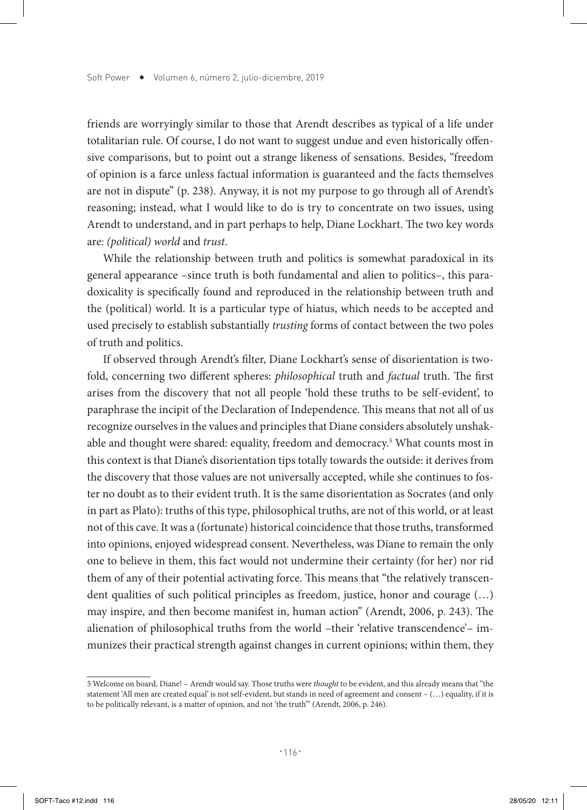friends are worryingly similar to those that Arendt describes as typical of a life under totalitarian rule. Of course, I do not want to suggest undue and even historically offensive comparisons, but to point out a strange likeness of sensations. Besides, "freedom of opinion is a farce unless factual information is guaranteed and the facts themselves are not in dispute" (p. 238). Anyway, it is not my purpose to go through all of Arendt's reasoning; instead, what I would like to do is try to concentrate on two issues, using Arendt to understand, and in part perhaps to help, Diane Lockhart. The two key words are: *(political) world* and *trust*.

While the relationship between truth and politics is somewhat paradoxical in its general appearance –since truth is both fundamental and alien to politics–, this paradoxicality is specifically found and reproduced in the relationship between truth and the (political) world. It is a particular type of hiatus, which needs to be accepted and used precisely to establish substantially *trusting* forms of contact between the two poles of truth and politics.

If observed through Arendt's filter, Diane Lockhart's sense of disorientation is twofold, concerning two different spheres: *philosophical* truth and *factual* truth. The first arises from the discovery that not all people 'hold these truths to be self-evident', to paraphrase the incipit of the Declaration of Independence. This means that not all of us recognize ourselves in the values and principles that Diane considers absolutely unshakable and thought were shared: equality, freedom and democracy.<sup>5</sup> What counts most in this context is that Diane's disorientation tips totally towards the outside: it derives from the discovery that those values are not universally accepted, while she continues to foster no doubt as to their evident truth. It is the same disorientation as Socrates (and only in part as Plato): truths of this type, philosophical truths, are not of this world, or at least not of this cave. It was a (fortunate) historical coincidence that those truths, transformed into opinions, enjoyed widespread consent. Nevertheless, was Diane to remain the only one to believe in them, this fact would not undermine their certainty (for her) nor rid them of any of their potential activating force. This means that "the relatively transcendent qualities of such political principles as freedom, justice, honor and courage (…) may inspire, and then become manifest in, human action" (Arendt, 2006, p. 243). The alienation of philosophical truths from the world –their 'relative transcendence'– immunizes their practical strength against changes in current opinions; within them, they

<sup>5</sup> Welcome on board, Diane! – Arendt would say. Those truths were *thought* to be evident, and this already means that "the statement 'All men are created equal' is not self-evident, but stands in need of agreement and consent – (…) equality, if it is to be politically relevant, is a matter of opinion, and not 'the truth'" (Arendt, 2006, p. 246).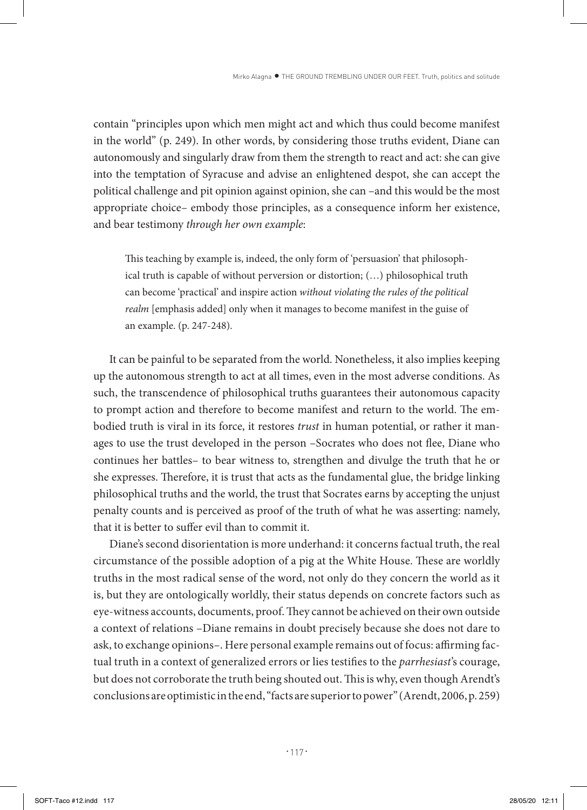contain "principles upon which men might act and which thus could become manifest in the world" (p. 249). In other words, by considering those truths evident, Diane can autonomously and singularly draw from them the strength to react and act: she can give into the temptation of Syracuse and advise an enlightened despot, she can accept the political challenge and pit opinion against opinion, she can –and this would be the most appropriate choice– embody those principles, as a consequence inform her existence, and bear testimony *through her own example*:

This teaching by example is, indeed, the only form of 'persuasion' that philosophical truth is capable of without perversion or distortion; (…) philosophical truth can become 'practical' and inspire action *without violating the rules of the political realm* [emphasis added] only when it manages to become manifest in the guise of an example. (p. 247-248).

It can be painful to be separated from the world. Nonetheless, it also implies keeping up the autonomous strength to act at all times, even in the most adverse conditions. As such, the transcendence of philosophical truths guarantees their autonomous capacity to prompt action and therefore to become manifest and return to the world. The embodied truth is viral in its force, it restores *trust* in human potential, or rather it manages to use the trust developed in the person –Socrates who does not flee, Diane who continues her battles– to bear witness to, strengthen and divulge the truth that he or she expresses. Therefore, it is trust that acts as the fundamental glue, the bridge linking philosophical truths and the world, the trust that Socrates earns by accepting the unjust penalty counts and is perceived as proof of the truth of what he was asserting: namely, that it is better to suffer evil than to commit it.

Diane's second disorientation is more underhand: it concerns factual truth, the real circumstance of the possible adoption of a pig at the White House. These are worldly truths in the most radical sense of the word, not only do they concern the world as it is, but they are ontologically worldly, their status depends on concrete factors such as eye-witness accounts, documents, proof. They cannot be achieved on their own outside a context of relations –Diane remains in doubt precisely because she does not dare to ask, to exchange opinions–. Here personal example remains out of focus: affirming factual truth in a context of generalized errors or lies testifies to the *parrhesiast*'s courage, but does not corroborate the truth being shouted out. This is why, even though Arendt's conclusions are optimistic in the end, "facts are superior to power" (Arendt, 2006, p. 259)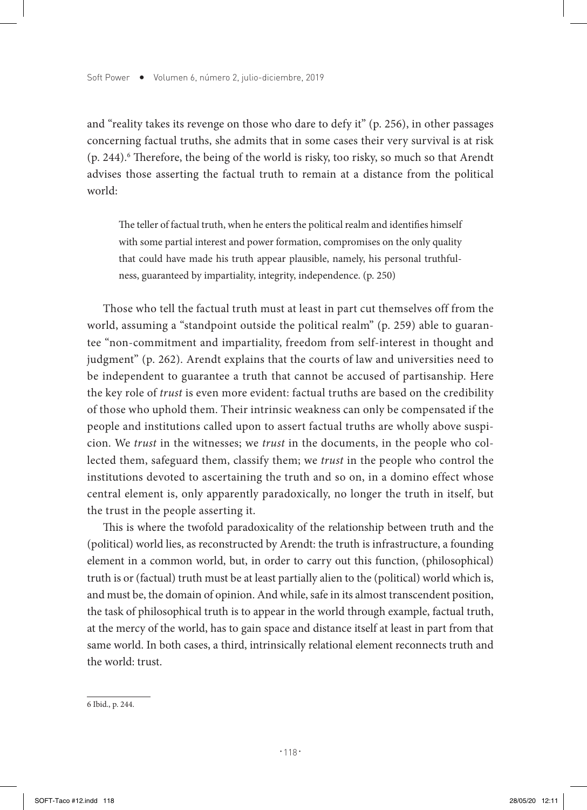and "reality takes its revenge on those who dare to defy it" (p. 256), in other passages concerning factual truths, she admits that in some cases their very survival is at risk (p. 244).<sup>6</sup> Therefore, the being of the world is risky, too risky, so much so that Arendt advises those asserting the factual truth to remain at a distance from the political world:

The teller of factual truth, when he enters the political realm and identifies himself with some partial interest and power formation, compromises on the only quality that could have made his truth appear plausible, namely, his personal truthfulness, guaranteed by impartiality, integrity, independence. (p. 250)

Those who tell the factual truth must at least in part cut themselves off from the world, assuming a "standpoint outside the political realm" (p. 259) able to guarantee "non-commitment and impartiality, freedom from self-interest in thought and judgment" (p. 262). Arendt explains that the courts of law and universities need to be independent to guarantee a truth that cannot be accused of partisanship. Here the key role of *trust* is even more evident: factual truths are based on the credibility of those who uphold them. Their intrinsic weakness can only be compensated if the people and institutions called upon to assert factual truths are wholly above suspicion. We *trust* in the witnesses; we *trust* in the documents, in the people who collected them, safeguard them, classify them; we *trust* in the people who control the institutions devoted to ascertaining the truth and so on, in a domino effect whose central element is, only apparently paradoxically, no longer the truth in itself, but the trust in the people asserting it.

This is where the twofold paradoxicality of the relationship between truth and the (political) world lies, as reconstructed by Arendt: the truth is infrastructure, a founding element in a common world, but, in order to carry out this function, (philosophical) truth is or (factual) truth must be at least partially alien to the (political) world which is, and must be, the domain of opinion. And while, safe in its almost transcendent position, the task of philosophical truth is to appear in the world through example, factual truth, at the mercy of the world, has to gain space and distance itself at least in part from that same world. In both cases, a third, intrinsically relational element reconnects truth and the world: trust.

<sup>6</sup> Ibid., p. 244.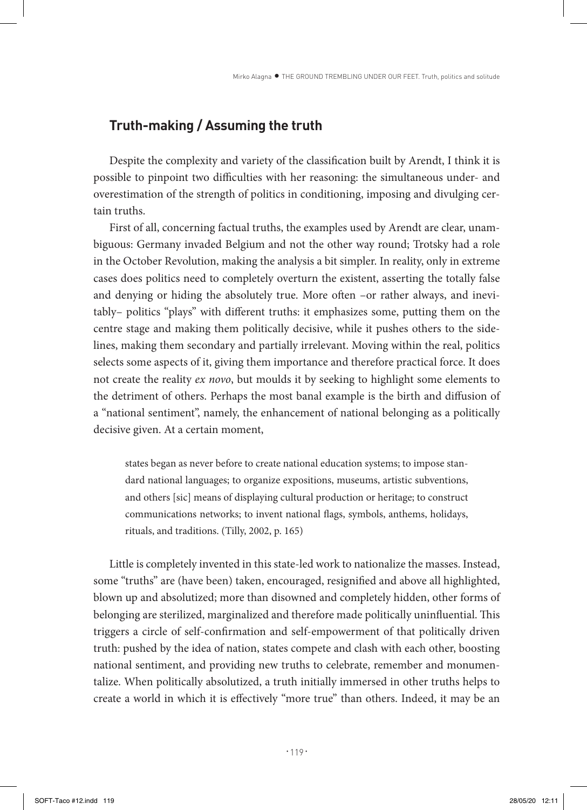# **Truth-making / Assuming the truth**

Despite the complexity and variety of the classification built by Arendt, I think it is possible to pinpoint two difficulties with her reasoning: the simultaneous under- and overestimation of the strength of politics in conditioning, imposing and divulging certain truths.

First of all, concerning factual truths, the examples used by Arendt are clear, unambiguous: Germany invaded Belgium and not the other way round; Trotsky had a role in the October Revolution, making the analysis a bit simpler. In reality, only in extreme cases does politics need to completely overturn the existent, asserting the totally false and denying or hiding the absolutely true. More often –or rather always, and inevitably– politics "plays" with different truths: it emphasizes some, putting them on the centre stage and making them politically decisive, while it pushes others to the sidelines, making them secondary and partially irrelevant. Moving within the real, politics selects some aspects of it, giving them importance and therefore practical force. It does not create the reality *ex novo*, but moulds it by seeking to highlight some elements to the detriment of others. Perhaps the most banal example is the birth and diffusion of a "national sentiment", namely, the enhancement of national belonging as a politically decisive given. At a certain moment,

states began as never before to create national education systems; to impose standard national languages; to organize expositions, museums, artistic subventions, and others [sic] means of displaying cultural production or heritage; to construct communications networks; to invent national flags, symbols, anthems, holidays, rituals, and traditions. (Tilly, 2002, p. 165)

Little is completely invented in this state-led work to nationalize the masses. Instead, some "truths" are (have been) taken, encouraged, resignified and above all highlighted, blown up and absolutized; more than disowned and completely hidden, other forms of belonging are sterilized, marginalized and therefore made politically uninfluential. This triggers a circle of self-confirmation and self-empowerment of that politically driven truth: pushed by the idea of nation, states compete and clash with each other, boosting national sentiment, and providing new truths to celebrate, remember and monumentalize. When politically absolutized, a truth initially immersed in other truths helps to create a world in which it is effectively "more true" than others. Indeed, it may be an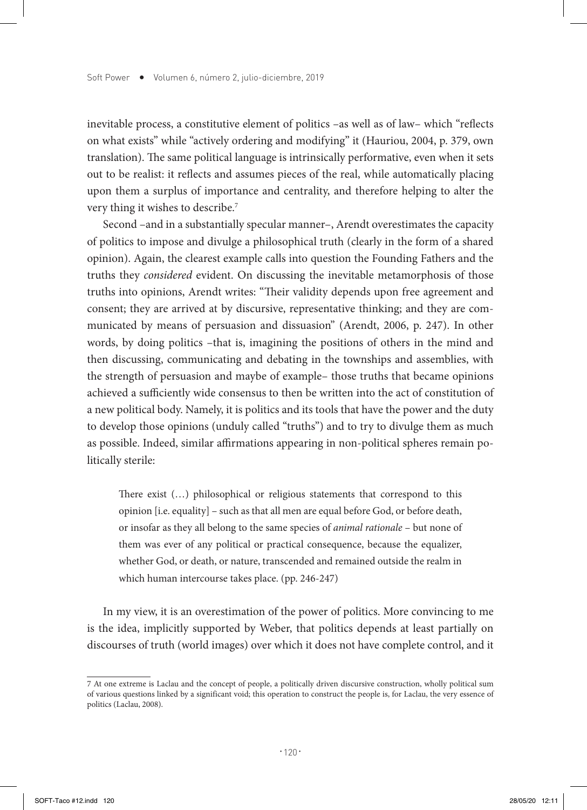inevitable process, a constitutive element of politics –as well as of law– which "reflects on what exists" while "actively ordering and modifying" it (Hauriou, 2004, p. 379, own translation). The same political language is intrinsically performative, even when it sets out to be realist: it reflects and assumes pieces of the real, while automatically placing upon them a surplus of importance and centrality, and therefore helping to alter the very thing it wishes to describe.7

Second –and in a substantially specular manner–, Arendt overestimates the capacity of politics to impose and divulge a philosophical truth (clearly in the form of a shared opinion). Again, the clearest example calls into question the Founding Fathers and the truths they *considered* evident. On discussing the inevitable metamorphosis of those truths into opinions, Arendt writes: "Their validity depends upon free agreement and consent; they are arrived at by discursive, representative thinking; and they are communicated by means of persuasion and dissuasion" (Arendt, 2006, p. 247). In other words, by doing politics –that is, imagining the positions of others in the mind and then discussing, communicating and debating in the townships and assemblies, with the strength of persuasion and maybe of example– those truths that became opinions achieved a sufficiently wide consensus to then be written into the act of constitution of a new political body. Namely, it is politics and its tools that have the power and the duty to develop those opinions (unduly called "truths") and to try to divulge them as much as possible. Indeed, similar affirmations appearing in non-political spheres remain politically sterile:

There exist (…) philosophical or religious statements that correspond to this opinion [i.e. equality] – such as that all men are equal before God, or before death, or insofar as they all belong to the same species of *animal rationale* – but none of them was ever of any political or practical consequence, because the equalizer, whether God, or death, or nature, transcended and remained outside the realm in which human intercourse takes place. (pp. 246-247)

In my view, it is an overestimation of the power of politics. More convincing to me is the idea, implicitly supported by Weber, that politics depends at least partially on discourses of truth (world images) over which it does not have complete control, and it

<sup>7</sup> At one extreme is Laclau and the concept of people, a politically driven discursive construction, wholly political sum of various questions linked by a significant void; this operation to construct the people is, for Laclau, the very essence of politics (Laclau, 2008).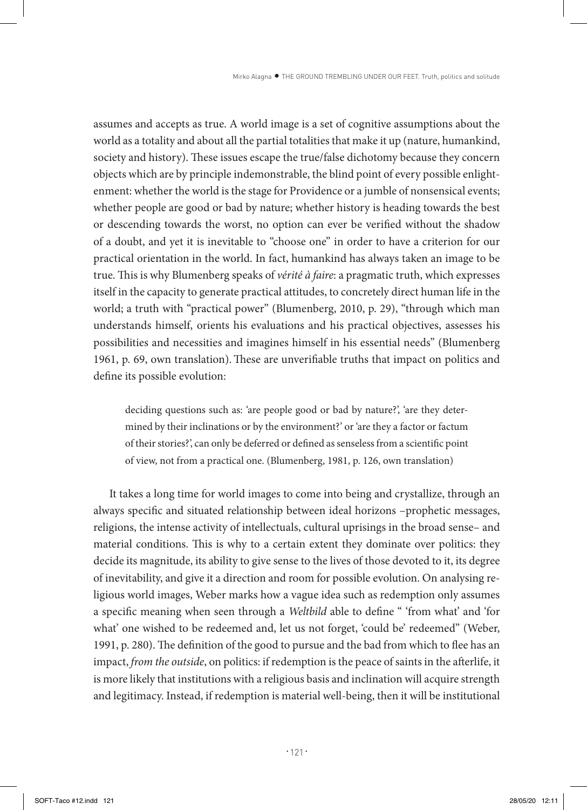assumes and accepts as true. A world image is a set of cognitive assumptions about the world as a totality and about all the partial totalities that make it up (nature, humankind, society and history). These issues escape the true/false dichotomy because they concern objects which are by principle indemonstrable, the blind point of every possible enlightenment: whether the world is the stage for Providence or a jumble of nonsensical events; whether people are good or bad by nature; whether history is heading towards the best or descending towards the worst, no option can ever be verified without the shadow of a doubt, and yet it is inevitable to "choose one" in order to have a criterion for our practical orientation in the world. In fact, humankind has always taken an image to be true. This is why Blumenberg speaks of *vérité à faire*: a pragmatic truth, which expresses itself in the capacity to generate practical attitudes, to concretely direct human life in the world; a truth with "practical power" (Blumenberg, 2010, p. 29), "through which man understands himself, orients his evaluations and his practical objectives, assesses his possibilities and necessities and imagines himself in his essential needs" (Blumenberg 1961, p. 69, own translation).These are unverifiable truths that impact on politics and define its possible evolution:

deciding questions such as: 'are people good or bad by nature?', 'are they determined by their inclinations or by the environment?' or 'are they a factor or factum of their stories?', can only be deferred or defined as senseless from a scientific point of view, not from a practical one. (Blumenberg, 1981, p. 126, own translation)

It takes a long time for world images to come into being and crystallize, through an always specific and situated relationship between ideal horizons –prophetic messages, religions, the intense activity of intellectuals, cultural uprisings in the broad sense– and material conditions. This is why to a certain extent they dominate over politics: they decide its magnitude, its ability to give sense to the lives of those devoted to it, its degree of inevitability, and give it a direction and room for possible evolution. On analysing religious world images, Weber marks how a vague idea such as redemption only assumes a specific meaning when seen through a *Weltbild* able to define " 'from what' and 'for what' one wished to be redeemed and, let us not forget, 'could be' redeemed" (Weber, 1991, p. 280). The definition of the good to pursue and the bad from which to flee has an impact, *from the outside*, on politics: if redemption is the peace of saints in the afterlife, it is more likely that institutions with a religious basis and inclination will acquire strength and legitimacy. Instead, if redemption is material well-being, then it will be institutional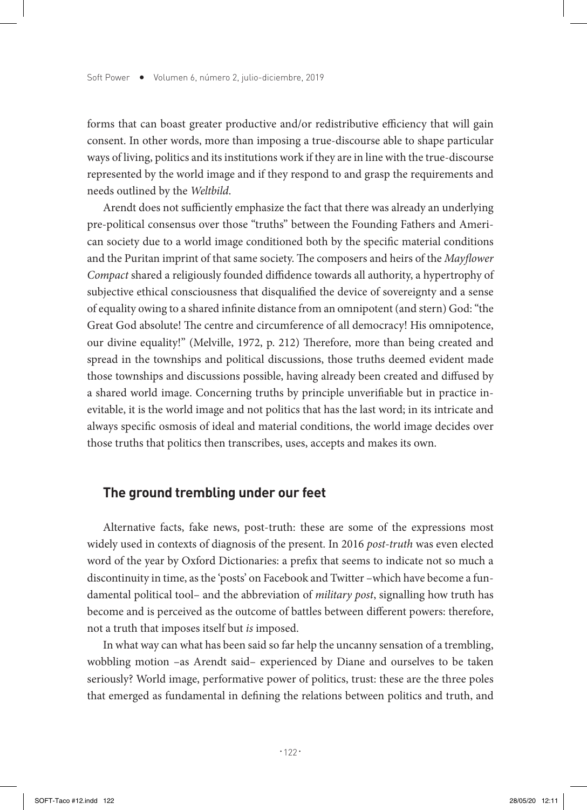forms that can boast greater productive and/or redistributive efficiency that will gain consent. In other words, more than imposing a true-discourse able to shape particular ways of living, politics and its institutions work if they are in line with the true-discourse represented by the world image and if they respond to and grasp the requirements and needs outlined by the *Weltbild*.

Arendt does not sufficiently emphasize the fact that there was already an underlying pre-political consensus over those "truths" between the Founding Fathers and American society due to a world image conditioned both by the specific material conditions and the Puritan imprint of that same society. The composers and heirs of the *Mayflower Compact* shared a religiously founded diffidence towards all authority, a hypertrophy of subjective ethical consciousness that disqualified the device of sovereignty and a sense of equality owing to a shared infinite distance from an omnipotent (and stern) God: "the Great God absolute! The centre and circumference of all democracy! His omnipotence, our divine equality!" (Melville, 1972, p. 212) Therefore, more than being created and spread in the townships and political discussions, those truths deemed evident made those townships and discussions possible, having already been created and diffused by a shared world image. Concerning truths by principle unverifiable but in practice inevitable, it is the world image and not politics that has the last word; in its intricate and always specific osmosis of ideal and material conditions, the world image decides over those truths that politics then transcribes, uses, accepts and makes its own.

## **The ground trembling under our feet**

Alternative facts, fake news, post-truth: these are some of the expressions most widely used in contexts of diagnosis of the present. In 2016 *post-truth* was even elected word of the year by Oxford Dictionaries: a prefix that seems to indicate not so much a discontinuity in time, as the 'posts' on Facebook and Twitter –which have become a fundamental political tool– and the abbreviation of *military post*, signalling how truth has become and is perceived as the outcome of battles between different powers: therefore, not a truth that imposes itself but *is* imposed.

In what way can what has been said so far help the uncanny sensation of a trembling, wobbling motion –as Arendt said– experienced by Diane and ourselves to be taken seriously? World image, performative power of politics, trust: these are the three poles that emerged as fundamental in defining the relations between politics and truth, and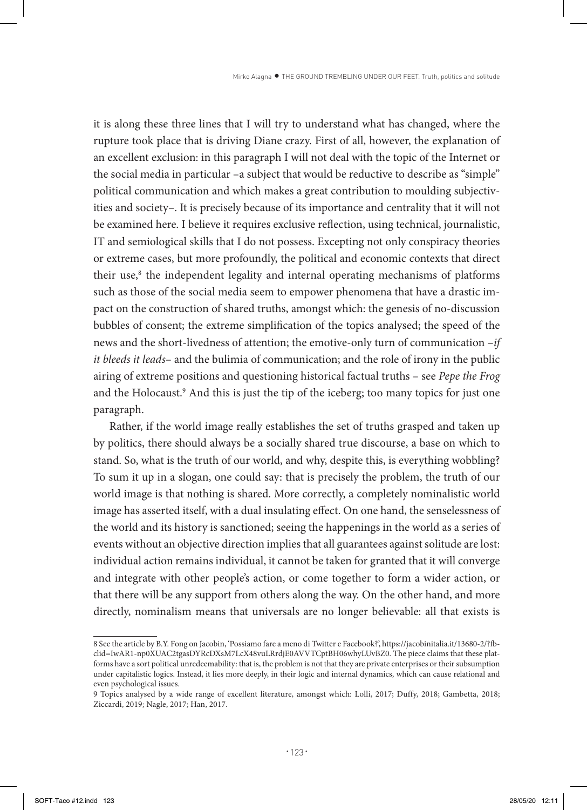it is along these three lines that I will try to understand what has changed, where the rupture took place that is driving Diane crazy. First of all, however, the explanation of an excellent exclusion: in this paragraph I will not deal with the topic of the Internet or the social media in particular –a subject that would be reductive to describe as "simple" political communication and which makes a great contribution to moulding subjectivities and society–. It is precisely because of its importance and centrality that it will not be examined here. I believe it requires exclusive reflection, using technical, journalistic, IT and semiological skills that I do not possess. Excepting not only conspiracy theories or extreme cases, but more profoundly, the political and economic contexts that direct their use,<sup>8</sup> the independent legality and internal operating mechanisms of platforms such as those of the social media seem to empower phenomena that have a drastic impact on the construction of shared truths, amongst which: the genesis of no-discussion bubbles of consent; the extreme simplification of the topics analysed; the speed of the news and the short-livedness of attention; the emotive-only turn of communication –*if it bleeds it leads–* and the bulimia of communication; and the role of irony in the public airing of extreme positions and questioning historical factual truths – see *Pepe the Frog* and the Holocaust.<sup>9</sup> And this is just the tip of the iceberg; too many topics for just one paragraph.

Rather, if the world image really establishes the set of truths grasped and taken up by politics, there should always be a socially shared true discourse, a base on which to stand. So, what is the truth of our world, and why, despite this, is everything wobbling? To sum it up in a slogan, one could say: that is precisely the problem, the truth of our world image is that nothing is shared. More correctly, a completely nominalistic world image has asserted itself, with a dual insulating effect. On one hand, the senselessness of the world and its history is sanctioned; seeing the happenings in the world as a series of events without an objective direction implies that all guarantees against solitude are lost: individual action remains individual, it cannot be taken for granted that it will converge and integrate with other people's action, or come together to form a wider action, or that there will be any support from others along the way. On the other hand, and more directly, nominalism means that universals are no longer believable: all that exists is

<sup>8</sup> See the article by B.Y. Fong on Jacobin, 'Possiamo fare a meno di Twitter e Facebook?', https://jacobinitalia.it/13680-2/?fbclid=IwAR1-np0XUAC2tgasDYRcDXsM7LcX48vuLRrdjE0AVVTCptBH06whyLUvBZ0. The piece claims that these platforms have a sort political unredeemability: that is, the problem is not that they are private enterprises or their subsumption under capitalistic logics. Instead, it lies more deeply, in their logic and internal dynamics, which can cause relational and even psychological issues.

<sup>9</sup> Topics analysed by a wide range of excellent literature, amongst which: Lolli, 2017; Duffy, 2018; Gambetta, 2018; Ziccardi, 2019; Nagle, 2017; Han, 2017.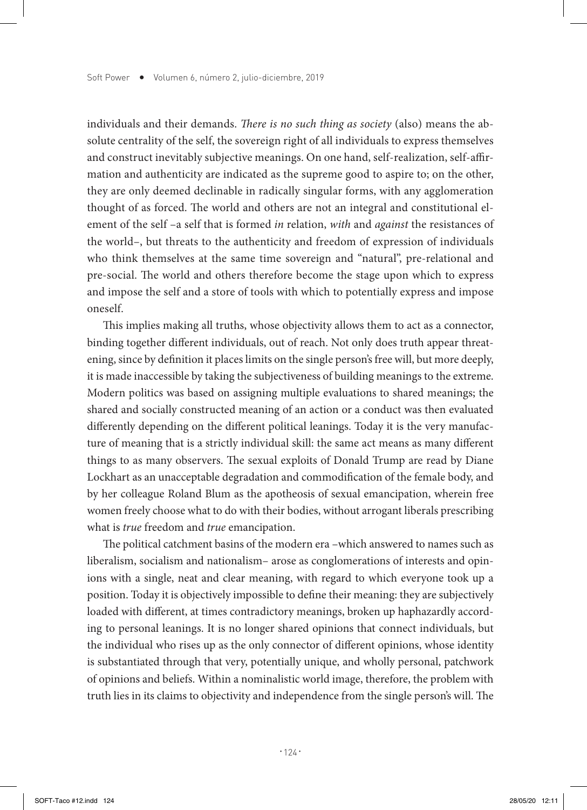individuals and their demands. *There is no such thing as society* (also) means the absolute centrality of the self, the sovereign right of all individuals to express themselves and construct inevitably subjective meanings. On one hand, self-realization, self-affirmation and authenticity are indicated as the supreme good to aspire to; on the other, they are only deemed declinable in radically singular forms, with any agglomeration thought of as forced. The world and others are not an integral and constitutional element of the self –a self that is formed *in* relation, *with* and *against* the resistances of the world–, but threats to the authenticity and freedom of expression of individuals who think themselves at the same time sovereign and "natural", pre-relational and pre-social. The world and others therefore become the stage upon which to express and impose the self and a store of tools with which to potentially express and impose oneself.

This implies making all truths, whose objectivity allows them to act as a connector, binding together different individuals, out of reach. Not only does truth appear threatening, since by definition it places limits on the single person's free will, but more deeply, it is made inaccessible by taking the subjectiveness of building meanings to the extreme. Modern politics was based on assigning multiple evaluations to shared meanings; the shared and socially constructed meaning of an action or a conduct was then evaluated differently depending on the different political leanings. Today it is the very manufacture of meaning that is a strictly individual skill: the same act means as many different things to as many observers. The sexual exploits of Donald Trump are read by Diane Lockhart as an unacceptable degradation and commodification of the female body, and by her colleague Roland Blum as the apotheosis of sexual emancipation, wherein free women freely choose what to do with their bodies, without arrogant liberals prescribing what is *true* freedom and *true* emancipation.

The political catchment basins of the modern era –which answered to names such as liberalism, socialism and nationalism– arose as conglomerations of interests and opinions with a single, neat and clear meaning, with regard to which everyone took up a position. Today it is objectively impossible to define their meaning: they are subjectively loaded with different, at times contradictory meanings, broken up haphazardly according to personal leanings. It is no longer shared opinions that connect individuals, but the individual who rises up as the only connector of different opinions, whose identity is substantiated through that very, potentially unique, and wholly personal, patchwork of opinions and beliefs. Within a nominalistic world image, therefore, the problem with truth lies in its claims to objectivity and independence from the single person's will. The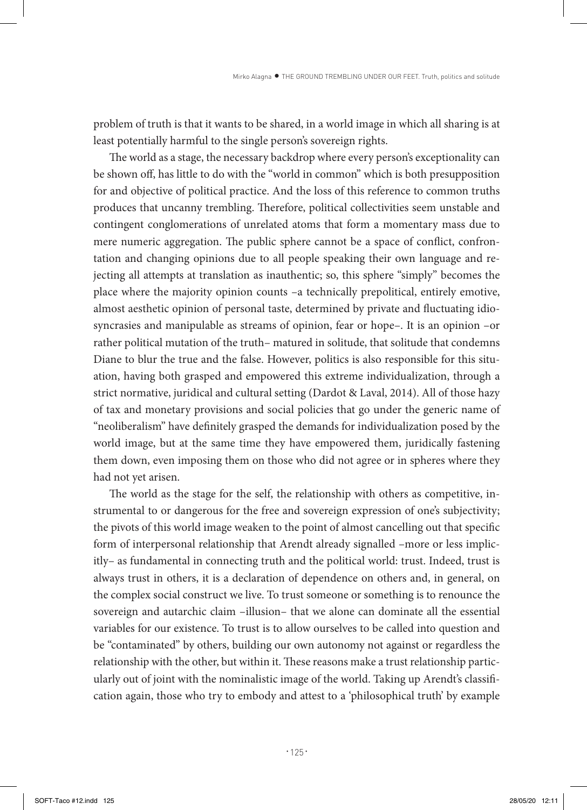problem of truth is that it wants to be shared, in a world image in which all sharing is at least potentially harmful to the single person's sovereign rights.

The world as a stage, the necessary backdrop where every person's exceptionality can be shown off, has little to do with the "world in common" which is both presupposition for and objective of political practice. And the loss of this reference to common truths produces that uncanny trembling. Therefore, political collectivities seem unstable and contingent conglomerations of unrelated atoms that form a momentary mass due to mere numeric aggregation. The public sphere cannot be a space of conflict, confrontation and changing opinions due to all people speaking their own language and rejecting all attempts at translation as inauthentic; so, this sphere "simply" becomes the place where the majority opinion counts –a technically prepolitical, entirely emotive, almost aesthetic opinion of personal taste, determined by private and fluctuating idiosyncrasies and manipulable as streams of opinion, fear or hope–. It is an opinion –or rather political mutation of the truth– matured in solitude, that solitude that condemns Diane to blur the true and the false. However, politics is also responsible for this situation, having both grasped and empowered this extreme individualization, through a strict normative, juridical and cultural setting (Dardot & Laval, 2014). All of those hazy of tax and monetary provisions and social policies that go under the generic name of "neoliberalism" have definitely grasped the demands for individualization posed by the world image, but at the same time they have empowered them, juridically fastening them down, even imposing them on those who did not agree or in spheres where they had not yet arisen.

The world as the stage for the self, the relationship with others as competitive, instrumental to or dangerous for the free and sovereign expression of one's subjectivity; the pivots of this world image weaken to the point of almost cancelling out that specific form of interpersonal relationship that Arendt already signalled –more or less implicitly– as fundamental in connecting truth and the political world: trust. Indeed, trust is always trust in others, it is a declaration of dependence on others and, in general, on the complex social construct we live. To trust someone or something is to renounce the sovereign and autarchic claim –illusion– that we alone can dominate all the essential variables for our existence. To trust is to allow ourselves to be called into question and be "contaminated" by others, building our own autonomy not against or regardless the relationship with the other, but within it. These reasons make a trust relationship particularly out of joint with the nominalistic image of the world. Taking up Arendt's classification again, those who try to embody and attest to a 'philosophical truth' by example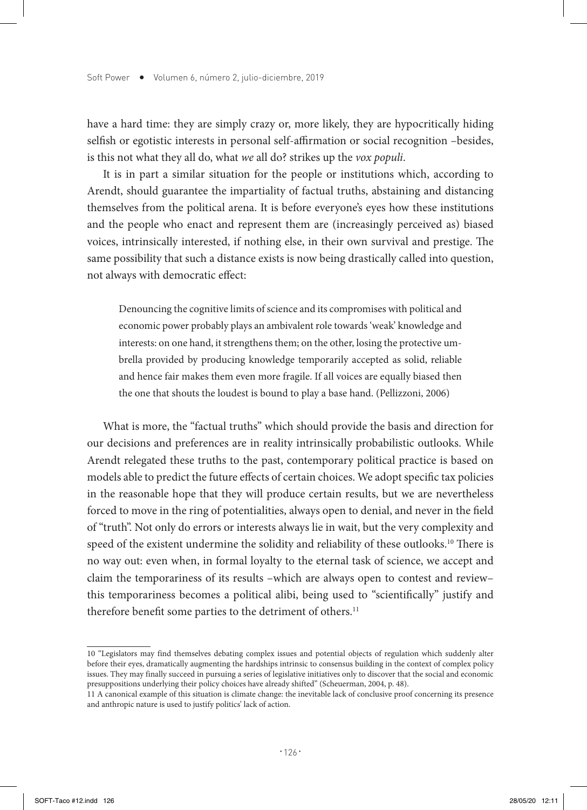have a hard time: they are simply crazy or, more likely, they are hypocritically hiding selfish or egotistic interests in personal self-affirmation or social recognition –besides, is this not what they all do, what *we* all do? strikes up the *vox populi*.

It is in part a similar situation for the people or institutions which, according to Arendt, should guarantee the impartiality of factual truths, abstaining and distancing themselves from the political arena. It is before everyone's eyes how these institutions and the people who enact and represent them are (increasingly perceived as) biased voices, intrinsically interested, if nothing else, in their own survival and prestige. The same possibility that such a distance exists is now being drastically called into question, not always with democratic effect:

Denouncing the cognitive limits of science and its compromises with political and economic power probably plays an ambivalent role towards 'weak' knowledge and interests: on one hand, it strengthens them; on the other, losing the protective umbrella provided by producing knowledge temporarily accepted as solid, reliable and hence fair makes them even more fragile. If all voices are equally biased then the one that shouts the loudest is bound to play a base hand. (Pellizzoni, 2006)

What is more, the "factual truths" which should provide the basis and direction for our decisions and preferences are in reality intrinsically probabilistic outlooks. While Arendt relegated these truths to the past, contemporary political practice is based on models able to predict the future effects of certain choices. We adopt specific tax policies in the reasonable hope that they will produce certain results, but we are nevertheless forced to move in the ring of potentialities, always open to denial, and never in the field of "truth". Not only do errors or interests always lie in wait, but the very complexity and speed of the existent undermine the solidity and reliability of these outlooks.<sup>10</sup> There is no way out: even when, in formal loyalty to the eternal task of science, we accept and claim the temporariness of its results –which are always open to contest and review– this temporariness becomes a political alibi, being used to "scientifically" justify and therefore benefit some parties to the detriment of others.<sup>11</sup>

<sup>10 &</sup>quot;Legislators may find themselves debating complex issues and potential objects of regulation which suddenly alter before their eyes, dramatically augmenting the hardships intrinsic to consensus building in the context of complex policy issues. They may finally succeed in pursuing a series of legislative initiatives only to discover that the social and economic presuppositions underlying their policy choices have already shifted" (Scheuerman, 2004, p. 48).

<sup>11</sup> A canonical example of this situation is climate change: the inevitable lack of conclusive proof concerning its presence and anthropic nature is used to justify politics' lack of action.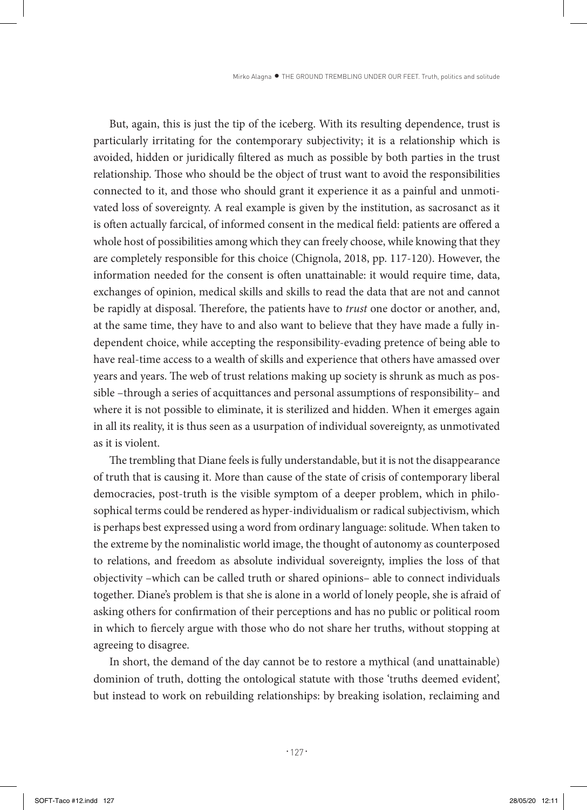But, again, this is just the tip of the iceberg. With its resulting dependence, trust is particularly irritating for the contemporary subjectivity; it is a relationship which is avoided, hidden or juridically filtered as much as possible by both parties in the trust relationship. Those who should be the object of trust want to avoid the responsibilities connected to it, and those who should grant it experience it as a painful and unmotivated loss of sovereignty. A real example is given by the institution, as sacrosanct as it is often actually farcical, of informed consent in the medical field: patients are offered a whole host of possibilities among which they can freely choose, while knowing that they are completely responsible for this choice (Chignola, 2018, pp. 117-120). However, the information needed for the consent is often unattainable: it would require time, data, exchanges of opinion, medical skills and skills to read the data that are not and cannot be rapidly at disposal. Therefore, the patients have to *trust* one doctor or another, and, at the same time, they have to and also want to believe that they have made a fully independent choice, while accepting the responsibility-evading pretence of being able to have real-time access to a wealth of skills and experience that others have amassed over years and years. The web of trust relations making up society is shrunk as much as possible –through a series of acquittances and personal assumptions of responsibility– and where it is not possible to eliminate, it is sterilized and hidden. When it emerges again in all its reality, it is thus seen as a usurpation of individual sovereignty, as unmotivated as it is violent.

The trembling that Diane feels is fully understandable, but it is not the disappearance of truth that is causing it. More than cause of the state of crisis of contemporary liberal democracies, post-truth is the visible symptom of a deeper problem, which in philosophical terms could be rendered as hyper-individualism or radical subjectivism, which is perhaps best expressed using a word from ordinary language: solitude. When taken to the extreme by the nominalistic world image, the thought of autonomy as counterposed to relations, and freedom as absolute individual sovereignty, implies the loss of that objectivity –which can be called truth or shared opinions– able to connect individuals together. Diane's problem is that she is alone in a world of lonely people, she is afraid of asking others for confirmation of their perceptions and has no public or political room in which to fiercely argue with those who do not share her truths, without stopping at agreeing to disagree.

In short, the demand of the day cannot be to restore a mythical (and unattainable) dominion of truth, dotting the ontological statute with those 'truths deemed evident', but instead to work on rebuilding relationships: by breaking isolation, reclaiming and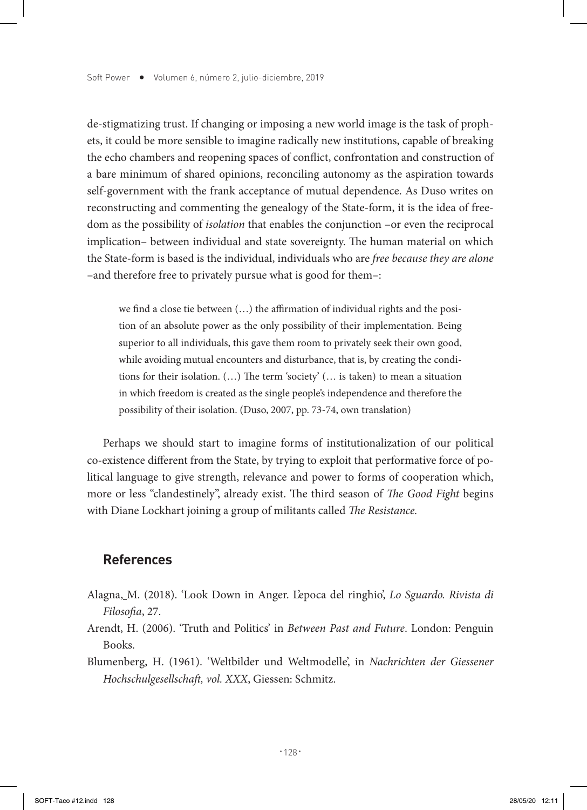de-stigmatizing trust. If changing or imposing a new world image is the task of prophets, it could be more sensible to imagine radically new institutions, capable of breaking the echo chambers and reopening spaces of conflict, confrontation and construction of a bare minimum of shared opinions, reconciling autonomy as the aspiration towards self-government with the frank acceptance of mutual dependence. As Duso writes on reconstructing and commenting the genealogy of the State-form, it is the idea of freedom as the possibility of *isolation* that enables the conjunction –or even the reciprocal implication– between individual and state sovereignty. The human material on which the State-form is based is the individual, individuals who are *free because they are alone* –and therefore free to privately pursue what is good for them–:

we find a close tie between (…) the affirmation of individual rights and the position of an absolute power as the only possibility of their implementation. Being superior to all individuals, this gave them room to privately seek their own good, while avoiding mutual encounters and disturbance, that is, by creating the conditions for their isolation. (…) The term 'society' (… is taken) to mean a situation in which freedom is created as the single people's independence and therefore the possibility of their isolation. (Duso, 2007, pp. 73-74, own translation)

Perhaps we should start to imagine forms of institutionalization of our political co-existence different from the State, by trying to exploit that performative force of political language to give strength, relevance and power to forms of cooperation which, more or less "clandestinely", already exist. The third season of *The Good Fight* begins with Diane Lockhart joining a group of militants called *The Resistance.*

## **References**

- Alagna, M. (2018). 'Look Down in Anger. L'epoca del ringhio', *Lo Sguardo. Rivista di Filosofia*, 27.
- Arendt, H. (2006). 'Truth and Politics' in *Between Past and Future*. London: Penguin Books.
- Blumenberg, H. (1961). 'Weltbilder und Weltmodelle', in *Nachrichten der Giessener Hochschulgesellschaft, vol. XXX*, Giessen: Schmitz.